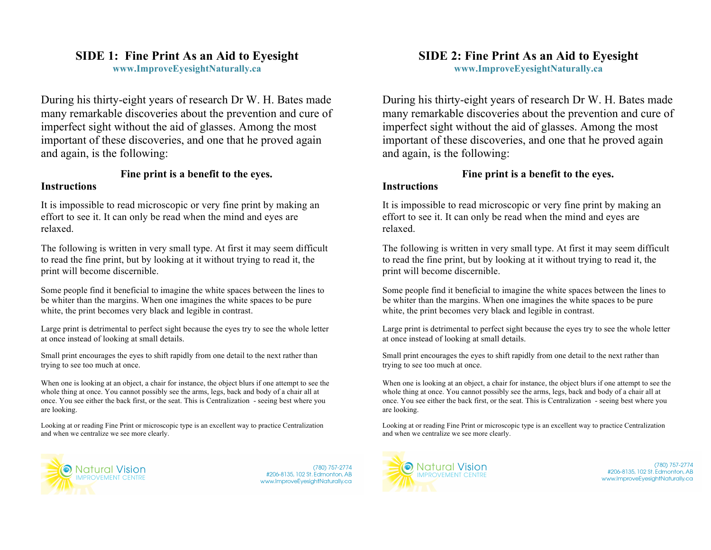## **SIDE 1: Fine Print As an Aid to Eyesight**

**www.ImproveEyesightNaturally.ca**

During his thirty-eight years of research Dr W. H. Bates made many remarkable discoveries about the prevention and cure of imperfect sight without the aid of glasses. Among the most important of these discoveries, and one that he proved again and again, is the following:

# **Fine print is a benefit to the eyes.**

#### **Instructions**

It is impossible to read microscopic or very fine print by making an effort to see it. It can only be read when the mind and eyes are relaxed.

The following is written in very small type. At first it may seem difficult to read the fine print, but by looking at it without trying to read it, the print will become discernible.

Some people find it beneficial to imagine the white spaces between the lines to be whiter than the margins. When one imagines the white spaces to be pure white, the print becomes very black and legible in contrast.

Large print is detrimental to perfect sight because the eyes try to see the whole letter at once instead of looking at small details.

Small print encourages the eyes to shift rapidly from one detail to the next rather than trying to see too much at once.

When one is looking at an object, a chair for instance, the object blurs if one attempt to see the whole thing at once. You cannot possibly see the arms, legs, back and body of a chair all at once. You see either the back first, or the seat. This is Centralization - seeing best where you are looking.

Looking at or reading Fine Print or microscopic type is an excellent way to practice Centralization and when we centralize we see more clearly.



(780) 757-2774 #206-8135, 102 St. Edmonton, AB www.ImproveEyesightNaturally.ca

# **SIDE 2: Fine Print As an Aid to Eyesight**

**www.ImproveEyesightNaturally.ca**

During his thirty-eight years of research Dr W. H. Bates made many remarkable discoveries about the prevention and cure of imperfect sight without the aid of glasses. Among the most important of these discoveries, and one that he proved again and again, is the following:

### **Fine print is a benefit to the eyes.**

#### **Instructions**

It is impossible to read microscopic or very fine print by making an effort to see it. It can only be read when the mind and eyes are relaxed.

The following is written in very small type. At first it may seem difficult to read the fine print, but by looking at it without trying to read it, the print will become discernible.

Some people find it beneficial to imagine the white spaces between the lines to be whiter than the margins. When one imagines the white spaces to be pure white, the print becomes very black and legible in contrast.

Large print is detrimental to perfect sight because the eyes try to see the whole letter at once instead of looking at small details.

Small print encourages the eyes to shift rapidly from one detail to the next rather than trying to see too much at once.

When one is looking at an object, a chair for instance, the object blurs if one attempt to see the whole thing at once. You cannot possibly see the arms, legs, back and body of a chair all at once. You see either the back first, or the seat. This is Centralization - seeing best where you are looking.

Looking at or reading Fine Print or microscopic type is an excellent way to practice Centralization and when we centralize we see more clearly.



(780) 757-2774 #206-8135, 102 St. Edmonton, AB www.ImproveEyesightNaturally.ca